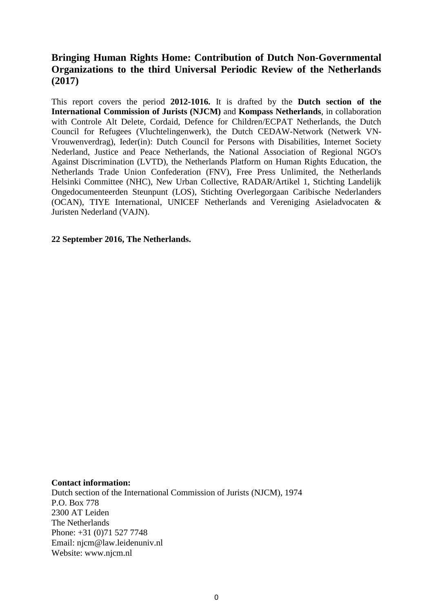# **Bringing Human Rights Home: Contribution of Dutch Non-Governmental Organizations to the third Universal Periodic Review of the Netherlands (2017)**

This report covers the period **2012-1016.** It is drafted by the **Dutch section of the International Commission of Jurists (NJCM)** and **Kompass Netherlands**, in collaboration with Controle Alt Delete, Cordaid, Defence for Children/ECPAT Netherlands, the Dutch Council for Refugees (Vluchtelingenwerk), the Dutch CEDAW-Network (Netwerk VN-Vrouwenverdrag), Ieder(in): Dutch Council for Persons with Disabilities, Internet Society Nederland, Justice and Peace Netherlands, the National Association of Regional NGO's Against Discrimination (LVTD), the Netherlands Platform on Human Rights Education, the Netherlands Trade Union Confederation (FNV), Free Press Unlimited, the Netherlands Helsinki Committee (NHC), New Urban Collective, RADAR/Artikel 1, Stichting Landelijk Ongedocumenteerden Steunpunt (LOS), Stichting Overlegorgaan Caribische Nederlanders (OCAN), TIYE International, UNICEF Netherlands and Vereniging Asieladvocaten & Juristen Nederland (VAJN).

#### **22 September 2016, The Netherlands.**

#### **Contact information:**

Dutch section of the International Commission of Jurists (NJCM), 1974 P.O. Box 778 2300 AT Leiden The Netherlands Phone: +31 (0)71 527 7748 Email: njcm@law.leidenuniv.nl Website: www.njcm.nl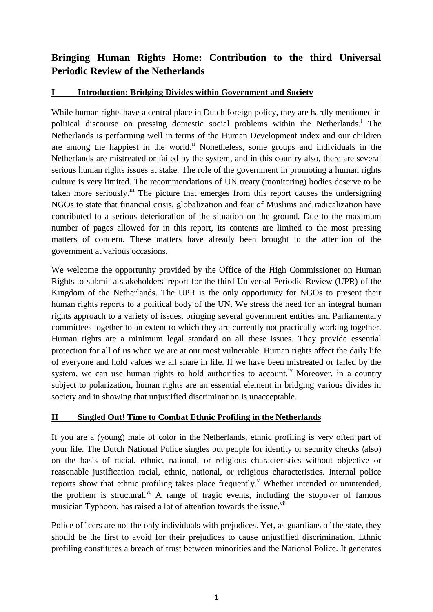# **Bringing Human Rights Home: Contribution to the third Universal Periodic Review of the Netherlands**

### **I Introduction: Bridging Divides within Government and Society**

While human rights have a central place in Dutch foreign policy, they are hardly mentioned in political discourse on pressing domestic social problems within the Netherlands.<sup>i</sup> The Netherlands is performing well in terms of the Human Development index and our children are among the happiest in the world.<sup>ii</sup> Nonetheless, some groups and individuals in the Netherlands are mistreated or failed by the system, and in this country also, there are several serious human rights issues at stake. The role of the government in promoting a human rights culture is very limited. The recommendations of UN treaty (monitoring) bodies deserve to be taken more seriously.<sup>iii</sup> The picture that emerges from this report causes the undersigning NGOs to state that financial crisis, globalization and fear of Muslims and radicalization have contributed to a serious deterioration of the situation on the ground. Due to the maximum number of pages allowed for in this report, its contents are limited to the most pressing matters of concern. These matters have already been brought to the attention of the government at various occasions.

We welcome the opportunity provided by the Office of the High Commissioner on Human Rights to submit a stakeholders' report for the third Universal Periodic Review (UPR) of the Kingdom of the Netherlands. The UPR is the only opportunity for NGOs to present their human rights reports to a political body of the UN. We stress the need for an integral human rights approach to a variety of issues, bringing several government entities and Parliamentary committees together to an extent to which they are currently not practically working together. Human rights are a minimum legal standard on all these issues. They provide essential protection for all of us when we are at our most vulnerable. Human rights affect the daily life of everyone and hold values we all share in life. If we have been mistreated or failed by the system, we can use human rights to hold authorities to account.<sup>iv</sup> Moreover, in a country subject to polarization, human rights are an essential element in bridging various divides in society and in showing that unjustified discrimination is unacceptable.

## **II Singled Out! Time to Combat Ethnic Profiling in the Netherlands**

If you are a (young) male of color in the Netherlands, ethnic profiling is very often part of your life. The Dutch National Police singles out people for identity or security checks (also) on the basis of racial, ethnic, national, or religious characteristics without objective or reasonable justification racial, ethnic, national, or religious characteristics. Internal police reports show that ethnic profiling takes place frequently.<sup>V</sup> Whether intended or unintended, the problem is structural.<sup>vi</sup> A range of tragic events, including the stopover of famous musician Typhoon, has raised a lot of attention towards the issue.<sup>vii</sup>

Police officers are not the only individuals with prejudices. Yet, as guardians of the state, they should be the first to avoid for their prejudices to cause unjustified discrimination. Ethnic profiling constitutes a breach of trust between minorities and the National Police. It generates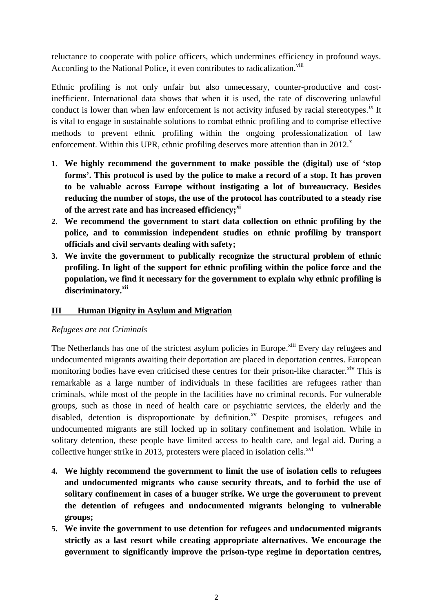reluctance to cooperate with police officers, which undermines efficiency in profound ways. According to the National Police, it even contributes to radicalization.<sup>viii</sup>

Ethnic profiling is not only unfair but also unnecessary, counter-productive and costinefficient. International data shows that when it is used, the rate of discovering unlawful conduct is lower than when law enforcement is not activity infused by racial stereotypes.<sup>ix</sup> It is vital to engage in sustainable solutions to combat ethnic profiling and to comprise effective methods to prevent ethnic profiling within the ongoing professionalization of law enforcement. Within this UPR, ethnic profiling deserves more attention than in  $2012$ <sup>x</sup>

- **1. We highly recommend the government to make possible the (digital) use of 'stop forms'. This protocol is used by the police to make a record of a stop. It has proven to be valuable across Europe without instigating a lot of bureaucracy. Besides reducing the number of stops, the use of the protocol has contributed to a steady rise of the arrest rate and has increased efficiency;xi**
- **2. We recommend the government to start data collection on ethnic profiling by the police, and to commission independent studies on ethnic profiling by transport officials and civil servants dealing with safety;**
- **3. We invite the government to publically recognize the structural problem of ethnic profiling. In light of the support for ethnic profiling within the police force and the population, we find it necessary for the government to explain why ethnic profiling is discriminatory. xii**

### **III Human Dignity in Asylum and Migration**

### *Refugees are not Criminals*

The Netherlands has one of the strictest asylum policies in Europe.<sup>xiii</sup> Every day refugees and undocumented migrants awaiting their deportation are placed in deportation centres. European monitoring bodies have even criticised these centres for their prison-like character.<sup>xiv</sup> This is remarkable as a large number of individuals in these facilities are refugees rather than criminals, while most of the people in the facilities have no criminal records. For vulnerable groups, such as those in need of health care or psychiatric services, the elderly and the disabled, detention is disproportionate by definition.<sup>xv</sup> Despite promises, refugees and undocumented migrants are still locked up in solitary confinement and isolation. While in solitary detention, these people have limited access to health care, and legal aid. During a collective hunger strike in 2013, protesters were placed in isolation cells. $^{xvi}$ 

- **4. We highly recommend the government to limit the use of isolation cells to refugees and undocumented migrants who cause security threats, and to forbid the use of solitary confinement in cases of a hunger strike. We urge the government to prevent the detention of refugees and undocumented migrants belonging to vulnerable groups;**
- **5. We invite the government to use detention for refugees and undocumented migrants strictly as a last resort while creating appropriate alternatives. We encourage the government to significantly improve the prison-type regime in deportation centres,**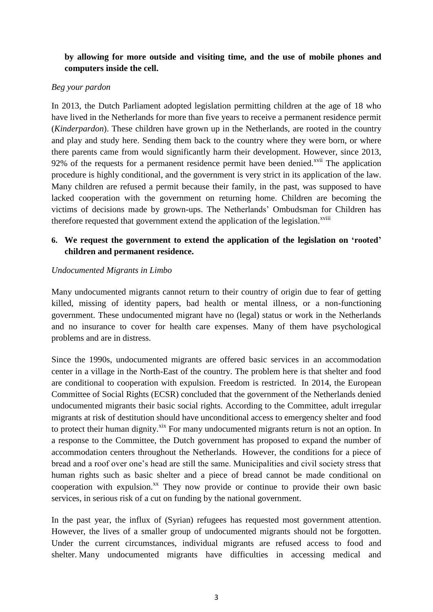# **by allowing for more outside and visiting time, and the use of mobile phones and computers inside the cell.**

### *Beg your pardon*

In 2013, the Dutch Parliament adopted legislation permitting children at the age of 18 who have lived in the Netherlands for more than five years to receive a permanent residence permit (*Kinderpardon*). These children have grown up in the Netherlands, are rooted in the country and play and study here. Sending them back to the country where they were born, or where there parents came from would significantly harm their development. However, since 2013, 92% of the requests for a permanent residence permit have been denied.<sup>xvii</sup> The application procedure is highly conditional, and the government is very strict in its application of the law. Many children are refused a permit because their family, in the past, was supposed to have lacked cooperation with the government on returning home. Children are becoming the victims of decisions made by grown-ups. The Netherlands' Ombudsman for Children has therefore requested that government extend the application of the legislation.<sup>xviii</sup>

## **6. We request the government to extend the application of the legislation on 'rooted' children and permanent residence.**

### *Undocumented Migrants in Limbo*

Many undocumented migrants cannot return to their country of origin due to fear of getting killed, missing of identity papers, bad health or mental illness, or a non-functioning government. These undocumented migrant have no (legal) status or work in the Netherlands and no insurance to cover for health care expenses. Many of them have psychological problems and are in distress.

Since the 1990s, undocumented migrants are offered basic services in an accommodation center in a village in the North-East of the country. The problem here is that shelter and food are conditional to cooperation with expulsion. Freedom is restricted. In 2014, the European Committee of Social Rights (ECSR) concluded that the government of the Netherlands denied undocumented migrants their basic social rights. According to the Committee, adult irregular migrants at risk of destitution should have unconditional access to emergency shelter and food to protect their human dignity.<sup>xix</sup> For many undocumented migrants return is not an option. In a response to the Committee, the Dutch government has proposed to expand the number of accommodation centers throughout the Netherlands. However, the conditions for a piece of bread and a roof over one's head are still the same. Municipalities and civil society stress that human rights such as basic shelter and a piece of bread cannot be made conditional on cooperation with expulsion. $^{xx}$  They now provide or continue to provide their own basic services, in serious risk of a cut on funding by the national government.

In the past year, the influx of (Syrian) refugees has requested most government attention. However, the lives of a smaller group of undocumented migrants should not be forgotten. Under the current circumstances, individual migrants are refused access to food and shelter. Many undocumented migrants have difficulties in accessing medical and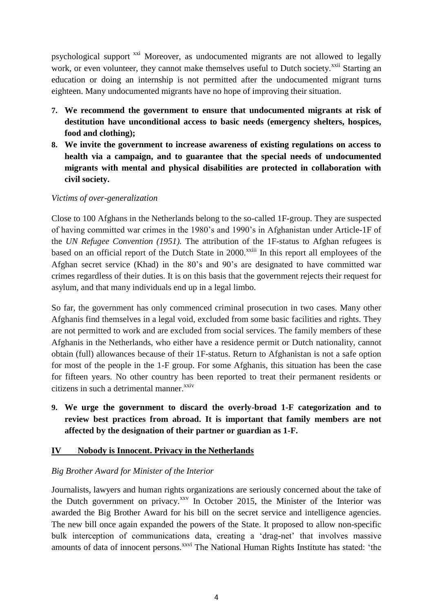psychological support <sup>xxi</sup> Moreover, as undocumented migrants are not allowed to legally work, or even volunteer, they cannot make themselves useful to Dutch society.<sup>xxii</sup> Starting an education or doing an internship is not permitted after the undocumented migrant turns eighteen. Many undocumented migrants have no hope of improving their situation.

- **7. We recommend the government to ensure that undocumented migrants at risk of destitution have unconditional access to basic needs (emergency shelters, hospices, food and clothing);**
- **8. We invite the government to increase awareness of existing regulations on access to health via a campaign, and to guarantee that the special needs of undocumented migrants with mental and physical disabilities are protected in collaboration with civil society.**

#### *Victims of over-generalization*

Close to 100 Afghans in the Netherlands belong to the so-called 1F-group. They are suspected of having committed war crimes in the 1980's and 1990's in Afghanistan under Article-1F of the *UN Refugee Convention (1951).* The attribution of the 1F-status to Afghan refugees is based on an official report of the Dutch State in 2000.<sup>xxiii</sup> In this report all employees of the Afghan secret service (Khad) in the 80's and 90's are designated to have committed war crimes regardless of their duties. It is on this basis that the government rejects their request for asylum, and that many individuals end up in a legal limbo.

So far, the government has only commenced criminal prosecution in two cases. Many other Afghanis find themselves in a legal void, excluded from some basic facilities and rights. They are not permitted to work and are excluded from social services. The family members of these Afghanis in the Netherlands, who either have a residence permit or Dutch nationality, cannot obtain (full) allowances because of their 1F-status. Return to Afghanistan is not a safe option for most of the people in the 1-F group. For some Afghanis, this situation has been the case for fifteen years. No other country has been reported to treat their permanent residents or citizens in such a detrimental manner.<sup>xxiv</sup>

**9. We urge the government to discard the overly-broad 1-F categorization and to review best practices from abroad. It is important that family members are not affected by the designation of their partner or guardian as 1-F.**

### **IV Nobody is Innocent. Privacy in the Netherlands**

### *Big Brother Award for Minister of the Interior*

Journalists, lawyers and human rights organizations are seriously concerned about the take of the Dutch government on privacy. $^{xxv}$  In October 2015, the Minister of the Interior was awarded the Big Brother Award for his bill on the secret service and intelligence agencies. The new bill once again expanded the powers of the State. It proposed to allow non-specific bulk interception of communications data, creating a 'drag-net' that involves massive amounts of data of innocent persons.<sup>xxvi</sup> The National Human Rights Institute has stated: 'the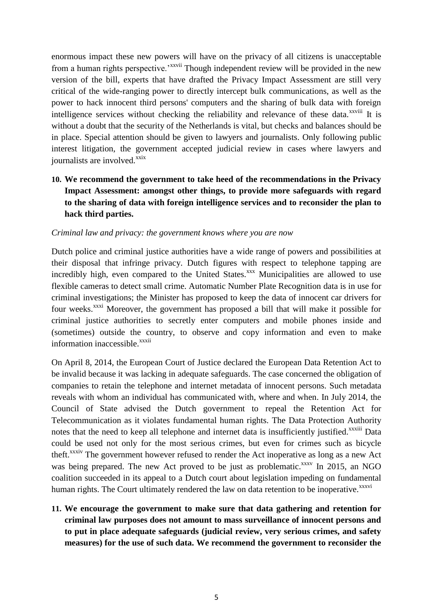enormous impact these new powers will have on the privacy of all citizens is unacceptable from a human rights perspective.<sup>\*\*\*\*ii</sup> Though independent review will be provided in the new version of the bill, experts that have drafted the Privacy Impact Assessment are still very critical of the wide-ranging power to directly intercept bulk communications, as well as the power to hack innocent third persons' computers and the sharing of bulk data with foreign intelligence services without checking the reliability and relevance of these data.<sup>xxviii</sup> It is without a doubt that the security of the Netherlands is vital, but checks and balances should be in place. Special attention should be given to lawyers and journalists. Only following public interest litigation, the government accepted judicial review in cases where lawyers and journalists are involved.<sup>xxix</sup>

**10. We recommend the government to take heed of the recommendations in the Privacy Impact Assessment: amongst other things, to provide more safeguards with regard to the sharing of data with foreign intelligence services and to reconsider the plan to hack third parties.**

#### *Criminal law and privacy: the government knows where you are now*

Dutch police and criminal justice authorities have a wide range of powers and possibilities at their disposal that infringe privacy. Dutch figures with respect to telephone tapping are incredibly high, even compared to the United States.<sup>xxx</sup> Municipalities are allowed to use flexible cameras to detect small crime. Automatic Number Plate Recognition data is in use for criminal investigations; the Minister has proposed to keep the data of innocent car drivers for four weeks.<sup>xxxi</sup> Moreover, the government has proposed a bill that will make it possible for criminal justice authorities to secretly enter computers and mobile phones inside and (sometimes) outside the country, to observe and copy information and even to make information inaccessible. $^{xxxxi}$ 

On April 8, 2014, the European Court of Justice declared the European Data Retention Act to be invalid because it was lacking in adequate safeguards. The case concerned the obligation of companies to retain the telephone and internet metadata of innocent persons. Such metadata reveals with whom an individual has communicated with, where and when. In July 2014, the Council of State advised the Dutch government to repeal the Retention Act for Telecommunication as it violates fundamental human rights. The Data Protection Authority notes that the need to keep all telephone and internet data is insufficiently justified.<sup>xxxiii</sup> Data could be used not only for the most serious crimes, but even for crimes such as bicycle theft.<sup>xxxiv</sup> The government however refused to render the Act inoperative as long as a new Act was being prepared. The new Act proved to be just as problematic.<sup>xxxv</sup> In 2015, an NGO coalition succeeded in its appeal to a Dutch court about legislation impeding on fundamental human rights. The Court ultimately rendered the law on data retention to be inoperative.<sup>xxxvi</sup>

**11. We encourage the government to make sure that data gathering and retention for criminal law purposes does not amount to mass surveillance of innocent persons and to put in place adequate safeguards (judicial review, very serious crimes, and safety measures) for the use of such data. We recommend the government to reconsider the**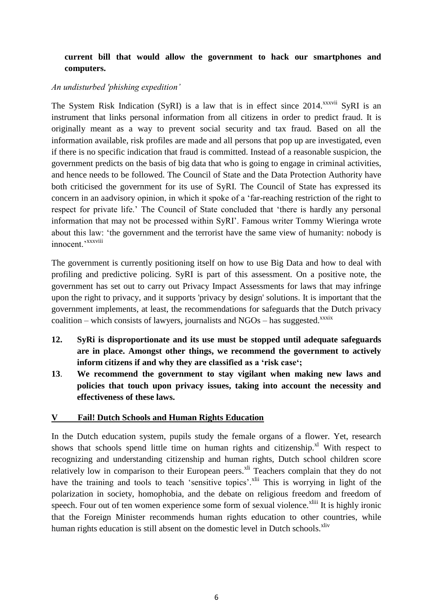# **current bill that would allow the government to hack our smartphones and computers.**

### *An undisturbed 'phishing expedition'*

The System Risk Indication (SyRI) is a law that is in effect since  $2014$ <sup>xxxvii</sup> SyRI is an instrument that links personal information from all citizens in order to predict fraud. It is originally meant as a way to prevent social security and tax fraud. Based on all the information available, risk profiles are made and all persons that pop up are investigated, even if there is no specific indication that fraud is committed. Instead of a reasonable suspicion, the government predicts on the basis of big data that who is going to engage in criminal activities, and hence needs to be followed. The Council of State and the Data Protection Authority have both criticised the government for its use of SyRI. The Council of State has expressed its concern in an aadvisory opinion, in which it spoke of a 'far-reaching restriction of the right to respect for private life.' The Council of State concluded that 'there is hardly any personal information that may not be processed within SyRI'. Famous writer Tommy Wieringa wrote about this law: 'the government and the terrorist have the same view of humanity: nobody is innocent.'<sup>xxxviii</sup>

The government is currently positioning itself on how to use Big Data and how to deal with profiling and predictive policing. SyRI is part of this assessment. On a positive note, the government has set out to carry out Privacy Impact Assessments for laws that may infringe upon the right to privacy, and it supports 'privacy by design' solutions. It is important that the government implements, at least, the recommendations for safeguards that the Dutch privacy coalition – which consists of lawyers, journalists and  $NGOs$  – has suggested.<sup>xxxix</sup>

- **12. SyRi is disproportionate and its use must be stopped until adequate safeguards are in place. Amongst other things, we recommend the government to actively inform citizens if and why they are classified as a 'risk case';**
- **13**. **We recommend the government to stay vigilant when making new laws and policies that touch upon privacy issues, taking into account the necessity and effectiveness of these laws.**

### **V Fail! Dutch Schools and Human Rights Education**

In the Dutch education system, pupils study the female organs of a flower. Yet, research shows that schools spend little time on human rights and citizenship.<sup>xl</sup> With respect to recognizing and understanding citizenship and human rights, Dutch school children score relatively low in comparison to their European peers.<sup>xli</sup> Teachers complain that they do not have the training and tools to teach 'sensitive topics'.<sup>xlii</sup> This is worrying in light of the polarization in society, homophobia, and the debate on religious freedom and freedom of speech. Four out of ten women experience some form of sexual violence.<sup>xliii</sup> It is highly ironic that the Foreign Minister recommends human rights education to other countries, while human rights education is still absent on the domestic level in Dutch schools.<sup>xliv</sup>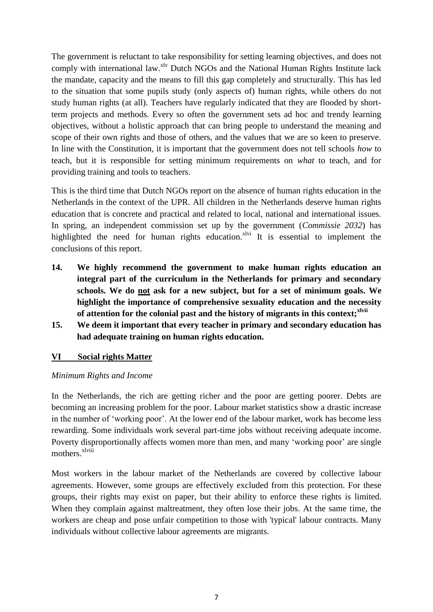The government is reluctant to take responsibility for setting learning objectives, and does not comply with international law.<sup>xlv</sup> Dutch NGOs and the National Human Rights Institute lack the mandate, capacity and the means to fill this gap completely and structurally. This has led to the situation that some pupils study (only aspects of) human rights, while others do not study human rights (at all). Teachers have regularly indicated that they are flooded by shortterm projects and methods. Every so often the government sets ad hoc and trendy learning objectives, without a holistic approach that can bring people to understand the meaning and scope of their own rights and those of others, and the values that we are so keen to preserve. In line with the Constitution, it is important that the government does not tell schools *how* to teach, but it is responsible for setting minimum requirements on *what* to teach, and for providing training and tools to teachers.

This is the third time that Dutch NGOs report on the absence of human rights education in the Netherlands in the context of the UPR. All children in the Netherlands deserve human rights education that is concrete and practical and related to local, national and international issues. In spring, an independent commission set up by the government (*Commissie 2032*) has highlighted the need for human rights education.<sup> $x$ lvi</sup> It is essential to implement the conclusions of this report.

- **14. We highly recommend the government to make human rights education an integral part of the curriculum in the Netherlands for primary and secondary schools. We do not ask for a new subject, but for a set of minimum goals. We highlight the importance of comprehensive sexuality education and the necessity of attention for the colonial past and the history of migrants in this context;xlvii**
- **15. We deem it important that every teacher in primary and secondary education has had adequate training on human rights education.**

### **VI Social rights Matter**

#### *Minimum Rights and Income*

In the Netherlands, the rich are getting richer and the poor are getting poorer. Debts are becoming an increasing problem for the poor. Labour market statistics show a drastic increase in the number of 'working poor'. At the lower end of the labour market, work has become less rewarding. Some individuals work several part-time jobs without receiving adequate income. Poverty disproportionally affects women more than men, and many 'working poor' are single mothers<sup>xlviii</sup>

Most workers in the labour market of the Netherlands are covered by collective labour agreements. However, some groups are effectively excluded from this protection. For these groups, their rights may exist on paper, but their ability to enforce these rights is limited. When they complain against maltreatment, they often lose their jobs. At the same time, the workers are cheap and pose unfair competition to those with 'typical' labour contracts. Many individuals without collective labour agreements are migrants.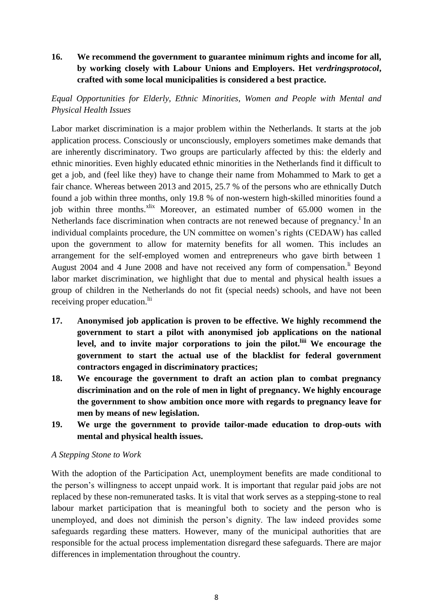# **16. We recommend the government to guarantee minimum rights and income for all, by working closely with Labour Unions and Employers. Het** *verdringsprotocol***, crafted with some local municipalities is considered a best practice.**

## *Equal Opportunities for Elderly, Ethnic Minorities, Women and People with Mental and Physical Health Issues*

Labor market discrimination is a major problem within the Netherlands. It starts at the job application process. Consciously or unconsciously, employers sometimes make demands that are inherently discriminatory. Two groups are particularly affected by this: the elderly and ethnic minorities. Even highly educated ethnic minorities in the Netherlands find it difficult to get a job, and (feel like they) have to change their name from Mohammed to Mark to get a fair chance. Whereas between 2013 and 2015, 25.7 % of the persons who are ethnically Dutch found a job within three months, only 19.8 % of non-western high-skilled minorities found a job within three months. $x<sup>lix</sup>$  Moreover, an estimated number of 65.000 women in the Netherlands face discrimination when contracts are not renewed because of pregnancy.<sup>1</sup> In an individual complaints procedure, the UN committee on women's rights (CEDAW) has called upon the government to allow for maternity benefits for all women. This includes an arrangement for the self-employed women and entrepreneurs who gave birth between 1 August 2004 and 4 June 2008 and have not received any form of compensation.<sup>li</sup> Beyond labor market discrimination, we highlight that due to mental and physical health issues a group of children in the Netherlands do not fit (special needs) schools, and have not been receiving proper education.<sup>lii</sup>

- **17. Anonymised job application is proven to be effective. We highly recommend the government to start a pilot with anonymised job applications on the national level, and to invite major corporations to join the pilot.liii We encourage the government to start the actual use of the blacklist for federal government contractors engaged in discriminatory practices;**
- **18. We encourage the government to draft an action plan to combat pregnancy discrimination and on the role of men in light of pregnancy. We highly encourage the government to show ambition once more with regards to pregnancy leave for men by means of new legislation.**
- **19. We urge the government to provide tailor-made education to drop-outs with mental and physical health issues.**

### *A Stepping Stone to Work*

With the adoption of the Participation Act, unemployment benefits are made conditional to the person's willingness to accept unpaid work. It is important that regular paid jobs are not replaced by these non-remunerated tasks. It is vital that work serves as a stepping-stone to real labour market participation that is meaningful both to society and the person who is unemployed, and does not diminish the person's dignity. The law indeed provides some safeguards regarding these matters. However, many of the municipal authorities that are responsible for the actual process implementation disregard these safeguards. There are major differences in implementation throughout the country.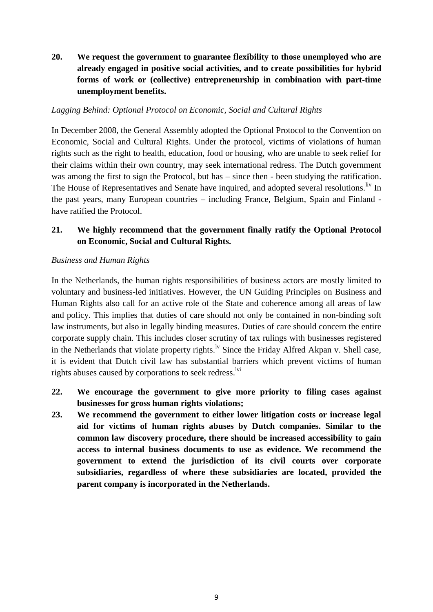**20. We request the government to guarantee flexibility to those unemployed who are already engaged in positive social activities, and to create possibilities for hybrid forms of work or (collective) entrepreneurship in combination with part-time unemployment benefits.**

### *Lagging Behind: Optional Protocol on Economic, Social and Cultural Rights*

In December 2008, the General Assembly adopted the Optional Protocol to the Convention on Economic, Social and Cultural Rights. Under the protocol, victims of violations of human rights such as the right to health, education, food or housing, who are unable to seek relief for their claims within their own country, may seek international redress. The Dutch government was among the first to sign the Protocol, but has – since then - been studying the ratification. The House of Representatives and Senate have inquired, and adopted several resolutions. Iv In the past years, many European countries – including France, Belgium, Spain and Finland have ratified the Protocol.

## **21. We highly recommend that the government finally ratify the Optional Protocol on Economic, Social and Cultural Rights.**

#### *Business and Human Rights*

In the Netherlands, the human rights responsibilities of business actors are mostly limited to voluntary and business-led initiatives. However, the UN Guiding Principles on Business and Human Rights also call for an active role of the State and coherence among all areas of law and policy. This implies that duties of care should not only be contained in non-binding soft law instruments, but also in legally binding measures. Duties of care should concern the entire corporate supply chain. This includes closer scrutiny of tax rulings with businesses registered in the Netherlands that violate property rights.<sup>1v</sup> Since the Friday Alfred Akpan v. Shell case, it is evident that Dutch civil law has substantial barriers which prevent victims of human rights abuses caused by corporations to seek redress.<sup>1vi</sup>

- **22. We encourage the government to give more priority to filing cases against businesses for gross human rights violations;**
- **23. We recommend the government to either lower litigation costs or increase legal aid for victims of human rights abuses by Dutch companies. Similar to the common law discovery procedure, there should be increased accessibility to gain access to internal business documents to use as evidence. We recommend the government to extend the jurisdiction of its civil courts over corporate subsidiaries, regardless of where these subsidiaries are located, provided the parent company is incorporated in the Netherlands.**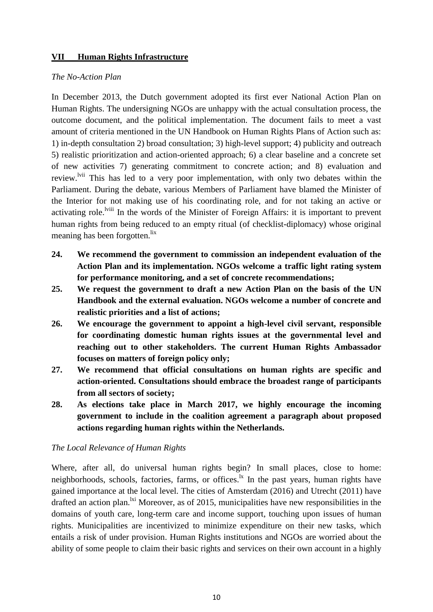### **VII Human Rights Infrastructure**

#### *The No-Action Plan*

In December 2013, the Dutch government adopted its first ever National Action Plan on Human Rights. The undersigning NGOs are unhappy with the actual consultation process, the outcome document, and the political implementation. The document fails to meet a vast amount of criteria mentioned in the UN Handbook on Human Rights Plans of Action such as: 1) in-depth consultation 2) broad consultation; 3) high-level support; 4) publicity and outreach 5) realistic prioritization and action-oriented approach; 6) a clear baseline and a concrete set of new activities 7) generating commitment to concrete action; and 8) evaluation and review.<sup>Ivii</sup> This has led to a very poor implementation, with only two debates within the Parliament. During the debate, various Members of Parliament have blamed the Minister of the Interior for not making use of his coordinating role, and for not taking an active or activating role.<sup>Iviii</sup> In the words of the Minister of Foreign Affairs: it is important to prevent human rights from being reduced to an empty ritual (of checklist-diplomacy) whose original meaning has been forgotten.<sup>lix</sup>

- **24. We recommend the government to commission an independent evaluation of the Action Plan and its implementation. NGOs welcome a traffic light rating system for performance monitoring, and a set of concrete recommendations;**
- **25. We request the government to draft a new Action Plan on the basis of the UN Handbook and the external evaluation. NGOs welcome a number of concrete and realistic priorities and a list of actions;**
- **26. We encourage the government to appoint a high-level civil servant, responsible for coordinating domestic human rights issues at the governmental level and reaching out to other stakeholders. The current Human Rights Ambassador focuses on matters of foreign policy only;**
- **27. We recommend that official consultations on human rights are specific and action-oriented. Consultations should embrace the broadest range of participants from all sectors of society;**
- **28. As elections take place in March 2017, we highly encourage the incoming government to include in the coalition agreement a paragraph about proposed actions regarding human rights within the Netherlands.**

### *The Local Relevance of Human Rights*

Where, after all, do universal human rights begin? In small places, close to home: neighborhoods, schools, factories, farms, or offices. $\frac{1}{x}$  In the past years, human rights have gained importance at the local level. The cities of Amsterdam (2016) and Utrecht (2011) have drafted an action plan.<sup>1xi</sup> Moreover, as of 2015, municipalities have new responsibilities in the domains of youth care, long-term care and income support, touching upon issues of human rights. Municipalities are incentivized to minimize expenditure on their new tasks, which entails a risk of under provision. Human Rights institutions and NGOs are worried about the ability of some people to claim their basic rights and services on their own account in a highly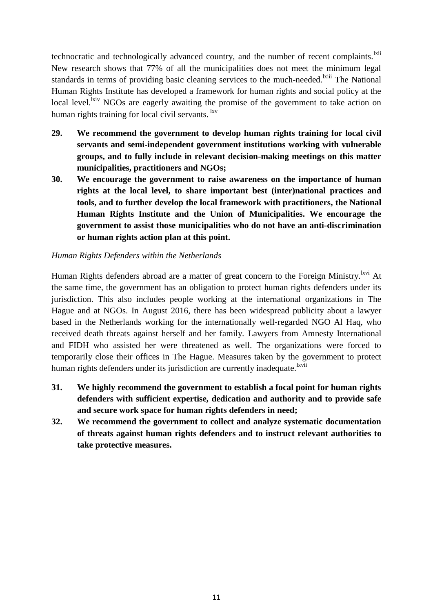technocratic and technologically advanced country, and the number of recent complaints.<sup>1xii</sup> New research shows that 77% of all the municipalities does not meet the minimum legal standards in terms of providing basic cleaning services to the much-needed.<sup>Ixiii</sup> The National Human Rights Institute has developed a framework for human rights and social policy at the local level.<sup>lxiv</sup> NGOs are eagerly awaiting the promise of the government to take action on human rights training for local civil servants. <sup>lxv</sup>

- **29. We recommend the government to develop human rights training for local civil servants and semi-independent government institutions working with vulnerable groups, and to fully include in relevant decision-making meetings on this matter municipalities, practitioners and NGOs;**
- **30. We encourage the government to raise awareness on the importance of human rights at the local level, to share important best (inter)national practices and tools, and to further develop the local framework with practitioners, the National Human Rights Institute and the Union of Municipalities. We encourage the government to assist those municipalities who do not have an anti-discrimination or human rights action plan at this point.**

### *Human Rights Defenders within the Netherlands*

Human Rights defenders abroad are a matter of great concern to the Foreign Ministry. <sup>Ixvi</sup> At the same time, the government has an obligation to protect human rights defenders under its jurisdiction. This also includes people working at the international organizations in The Hague and at NGOs. In August 2016, there has been widespread publicity about a lawyer based in the Netherlands working for the internationally well-regarded NGO Al Haq, who received death threats against herself and her family. Lawyers from Amnesty International and FIDH who assisted her were threatened as well. The organizations were forced to temporarily close their offices in The Hague. Measures taken by the government to protect human rights defenders under its jurisdiction are currently inadequate.<sup>lxvii</sup>

- **31. We highly recommend the government to establish a focal point for human rights defenders with sufficient expertise, dedication and authority and to provide safe and secure work space for human rights defenders in need;**
- **32. We recommend the government to collect and analyze systematic documentation of threats against human rights defenders and to instruct relevant authorities to take protective measures.**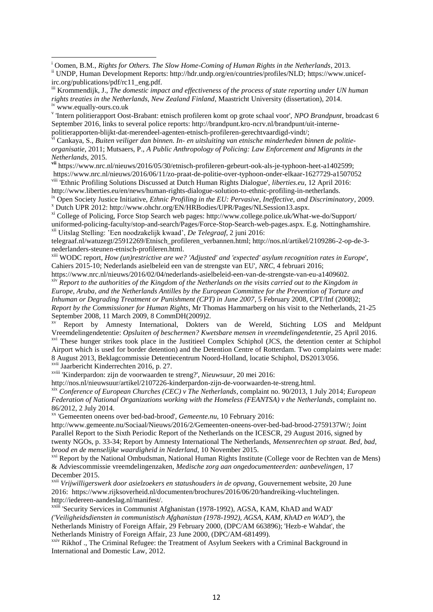iii Krommendijk, J., *The domestic impact and effectiveness of the process of state reporting under UN human rights treaties in the Netherlands, New Zealand Finland*, Maastricht University (dissertation), 2014. iv www.equally-ours.co.uk

v 'Intern politierapport Oost-Brabant: etnisch profileren komt op grote schaal voor', *NPO Brandpunt*, broadcast 6 September 2016, links to several police reports: http://brandpunt.kro-ncrv.nl/brandpunt/uit-internepolitierapporten-blijkt-dat-merendeel-agenten-etnisch-profileren-gerechtvaardigd-vindt/;

vi Cankaya, S., *Buiten veiliger dan binnen. In- en uitsluiting van etnische minderheden binnen de politieorganisatie*, 2011; Mutsaers, P., *A Public Anthropology of Policing: Law Enforcement and Migrants in the Netherlands*, 2015.

**vii** https://www.nrc.nl/nieuws/2016/05/30/etnisch-profileren-gebeurt-ook-als-je-typhoon-heet-a1402599; https://www.nrc.nl/nieuws/2016/06/11/zo-praat-de-politie-over-typhoon-onder-elkaar-1627729-a1507052 viii 'Ethnic Profiling Solutions Discussed at Dutch Human Rights Dialogue', *liberties.eu*, 12 April 2016: http://www.liberties.eu/en/news/human-rights-dialogue-solution-to-ethnic-profiling-in-netherlands.

ix Open Society Justice Initiative, *Ethnic Profiling in the EU: Pervasive, Ineffective, and Discriminatory*, 2009. <sup>x</sup> Dutch UPR 2012: http://www.ohchr.org/EN/HRBodies/UPR/Pages/NLSession13.aspx.

xi College of Policing, Force Stop Search web pages: http://www.college.police.uk/What-we-do/Support/ uniformed-policing-faculty/stop-and-search/Pages/Force-Stop-Search-web-pages.aspx. E.g. Nottinghamshire. xii Uitslag Stelling: 'Een noodzakelijk kwaad', *De Telegraaf*, 2 juni 2016:

telegraaf.nl/watuzegt/25912269/Etnisch\_profileren\_verbannen.html; http://nos.nl/artikel/2109286-2-op-de-3 nederlanders-steunen-etnisch-profileren.html.

xiii WODC report, *How (un)restrictive are we? 'Adjusted' and 'expected' asylum recognition rates in Europe*', Cahiers 2015-10; Nederlands asielbeleid een van de strengste van EU', *NRC*, 4 februari 2016;

https://www.nrc.nl/nieuws/2016/02/04/nederlands-asielbeleid-een-van-de-strengste-van-eu-a1409602. xiv *Report to the authorities of the Kingdom of the Netherlands on the visits carried out to the Kingdom in Europe, Aruba, and the Netherlands Antilles by the European Committee for the Prevention of Torture and Inhuman or Degrading Treatment or Punishment (CPT) in June 2007*, 5 February 2008, CPT/Inf (2008)2; *Report by the Commissioner for Human Rights*, Mr Thomas Hammarberg on his visit to the Netherlands, 21-25 September 2008, 11 March 2009, 8 CommDH(2009)2.

xv Report by Amnesty International, Dokters van de Wereld, Stichting LOS and Meldpunt Vreemdelingendetentie: *Opsluiten of beschermen? Kwetsbare mensen in vreemdelingendetentie*, 25 April 2016. <sup>xvi</sup> These hunger strikes took place in the Justitieel Complex Schiphol (JCS, the detention center at Schiphol Airport which is used for border detention) and the Detention Centre of Rotterdam. Two complaints were made: 8 August 2013, Beklagcommissie Detentiecentrum Noord-Holland, locatie Schiphol, DS2013/056.

xvii Jaarbericht Kinderrechten 2016, p. 27.

**.** 

xviii 'Kinderpardon: zijn de voorwaarden te streng?', *Nieuwsuur*, 20 mei 2016:

http://nos.nl/nieuwsuur/artikel/2107226-kinderpardon-zijn-de-voorwaarden-te-streng.html.

xix *Conference of European Churches (CEC) v The Netherlands*, complaint no. 90/2013, 1 July 2014; *European Federation of National Organizations working with the Homeless (FEANTSA) v the Netherlands*, complaint no. 86/2012, 2 July 2014.

xx 'Gemeenten oneens over bed-bad-brood', *Gemeente.nu*, 10 February 2016:

http://www.gemeente.nu/Sociaal/Nieuws/2016/2/Gemeenten-oneens-over-bed-bad-brood-2759137W/; Joint Parallel Report to the Sixth Periodic Report of the Netherlands on the ICESCR, 29 August 2016, signed by twenty NGOs, p. 33-34; Report by Amnesty International The Netherlands, *Mensenrechten op straat. Bed, bad, brood en de menselijke waardigheid in Nederland*, 10 November 2015.

xxi Report by the National Ombudsman, National Human Rights Institute (College voor de Rechten van de Mens) & Adviescommissie vreemdelingenzaken, *Medische zorg aan ongedocumenteerden: aanbevelingen*, 17 December 2015.

xxii *Vrijwilligerswerk door asielzoekers en statushouders in de opvang*, Gouvernement website, 20 June 2016: https://www.rijksoverheid.nl/documenten/brochures/2016/06/20/handreiking-vluchtelingen. http://iedereen-aandeslag.nl/manifest/.

xxiii 'Security Services in Communist Afghanistan (1978-1992), AGSA, KAM, KhAD and WAD' *('Veiligheidsdiensten in communistisch Afghanistan (1978-1992), AGSA, KAM, KhAD en WAD'*), the Netherlands Ministry of Foreign Affair, 29 February 2000, (DPC/AM 663896); 'Hezb-e Wahdat', the Netherlands Ministry of Foreign Affair, 23 June 2000, (DPC/AM-681499).

<sup>xxiv</sup> Rikhof ., The Criminal Refugee: the Treatment of Asylum Seekers with a Criminal Background in International and Domestic Law, 2012.

<sup>i</sup> Oomen, B.M., *Rights for Others. The Slow Home-Coming of Human Rights in the Netherlands*, 2013.

ii UNDP, Human Development Reports: http://hdr.undp.org/en/countries/profiles/NLD; https://www.unicefirc.org/publications/pdf/rc11\_eng.pdf.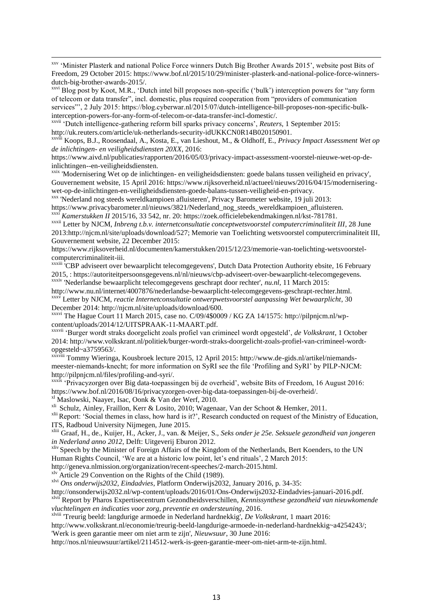xxv 'Minister Plasterk and national Police Force winners Dutch Big Brother Awards 2015', website post Bits of Freedom, 29 October 2015: https://www.bof.nl/2015/10/29/minister-plasterk-and-national-police-force-winnersdutch-big-brother-awards-2015/.

<sup>xxvi</sup> Blog post by Koot, M.R., 'Dutch intel bill proposes non-specific ('bulk') interception powers for "any form of telecom or data transfer", incl. domestic, plus required cooperation from "providers of communication services"', 2 July 2015: https://blog.cyberwar.nl/2015/07/dutch-intelligence-bill-proposes-non-specific-bulkinterception-powers-for-any-form-of-telecom-or-data-transfer-incl-domestic/.

xxvii 'Dutch intelligence-gathering reform bill sparks privacy concerns', *Reuters*, 1 September 2015: http://uk.reuters.com/article/uk-netherlands-security-idUKKCN0R14B020150901.

xxviii Koops, B.J., Roosendaal, A., Kosta, E., van Lieshout, M., & Oldhoff, E., *Privacy Impact Assessment Wet op de inlichtingen- en veiligheidsdiensten 20XX*, 2016:

https://www.aivd.nl/publicaties/rapporten/2016/05/03/privacy-impact-assessment-voorstel-nieuwe-wet-op-deinlichtingen--en-veiligheidsdiensten.

xxix 'Modernisering Wet op de inlichtingen- en veiligheidsdiensten: goede balans tussen veiligheid en privacy', Gouvernement website, 15 April 2016: https://www.rijksoverheid.nl/actueel/nieuws/2016/04/15/moderniseringwet-op-de-inlichtingen-en-veiligheidsdiensten-goede-balans-tussen-veiligheid-en-privacy.

xxx 'Nederland nog steeds wereldkampioen afluisteren', Privacy Barometer website, 19 juli 2013: https://www.privacybarometer.nl/nieuws/3821/Nederland\_nog\_steeds\_wereldkampioen\_afluisteren.

xxxi *Kamerstukken II* 2015/16, 33 542, nr. 20: https://zoek.officielebekendmakingen.nl/kst-781781.

xxxii Letter by NJCM, *Inbreng t.b.v. internetconsultatie conceptwetsvoorstel computercriminaliteit III*, 28 June 2013:http://njcm.nl/site/uploads/download/527; Memorie van Toelichting wetsvoorstel computercriminaliteit III, Gouvernement website, 22 December 2015:

https://www.rijksoverheid.nl/documenten/kamerstukken/2015/12/23/memorie-van-toelichting-wetsvoorstelcomputercriminaliteit-iii.

xxxiii <sup>i</sup>CBP adviseert over bewaarplicht telecomgegevens', Dutch Data Protection Authority ebsite, 16 February 2015, : https://autoriteitpersoonsgegevens.nl/nl/nieuws/cbp-adviseert-over-bewaarplicht-telecomgegevens. xxxiv 'Nederlandse bewaarplicht telecomgegevens geschrapt door rechter', *nu.nl*, 11 March 2015:

http://www.nu.nl/internet/4007876/nederlandse-bewaarplicht-telecomgegevens-geschrapt-rechter.html. xxxv Letter by NJCM, *reactie Internetconsultatie ontwerpwetsvoorstel aanpassing Wet bewaarplicht*, 30 December 2014: http://njcm.nl/site/uploads/download/600.

xxxvi The Hague Court 11 March 2015, case no. C/09/4\$0009 / KG ZA 14/1575: http://pilpnjcm.nl/wpcontent/uploads/2014/12/UITSPRAAK-11-MAART.pdf.

xxxvii 'Burger wordt straks doorgelicht zoals profiel van crimineel wordt opgesteld', *de Volkskrant*, 1 October 2014: http://www.volkskrant.nl/politiek/burger-wordt-straks-doorgelicht-zoals-profiel-van-crimineel-wordtopgesteld~a3759563/.

xxxviii Tommy Wieringa, Kousbroek lecture 2015, 12 April 2015: http://www.de-gids.nl/artikel/niemandsmeester-niemands-knecht; for more information on SyRI see the file 'Profiling and SyRI' by PILP-NJCM: http://pilpnjcm.nl/files/profiling-and-syri/.

xxxix 'Privacyzorgen over Big data-toepassingen bij de overheid', website Bits of Freedom, 16 August 2016: https://www.bof.nl/2016/08/16/privacyzorgen-over-big-data-toepassingen-bij-de-overheid/.

xl Maslowski, Naayer, Isac, Oonk & Van der Werf, 2010.

 $\overline{a}$ 

xli Schulz, Ainley, Fraillon, Kerr & Losito, 2010; Wagenaar, Van der Schoot & Hemker, 2011.

<sup>xlii</sup> Report: 'Social themes in class, how hard is it?', Research conducted on request of the Ministry of Education, ITS, Radboud University Nijmegen, June 2015.

xliii Graaf, H., de., Kuijer, H., Acker, J., van. & Meijer, S., *Seks onder je 25e. Seksuele gezondheid van jongeren in Nederland anno 2012*, Delft: Uitgeverij Eburon 2012.

xliv Speech by the Minister of Foreign Affairs of the Kingdom of the Netherlands, Bert Koenders, to the UN Human Rights Council, 'We are at a historic low point, let's end rituals', 2 March 2015:

http://geneva.nlmission.org/organization/recent-speeches/2-march-2015.html.

xlv Article 29 Convention on the Rights of the Child (1989).

xlvi *Ons onderwijs2032, Eindadvies*, Platform Onderwijs2032, January 2016, p. 34-35:

http://onsonderwijs2032.nl/wp-content/uploads/2016/01/Ons-Onderwijs2032-Eindadvies-januari-2016.pdf. xlvii Report by Pharos Expertisecentrum Gezondheidsverschillen, *Kennissynthese gezondheid van nieuwkomende* 

*vluchtelingen en indicaties voor zorg, preventie en ondersteuning*, 2016.

xlviii 'Treurig beeld: langdurige armoede in Nederland hardnekkig', *De Volkskrant*, 1 maart 2016:

http://www.volkskrant.nl/economie/treurig-beeld-langdurige-armoede-in-nederland-hardnekkig~a4254243/;

'Werk is geen garantie meer om niet arm te zijn', *Nieuwsuur*, 30 June 2016:

http://nos.nl/nieuwsuur/artikel/2114512-werk-is-geen-garantie-meer-om-niet-arm-te-zijn.html.